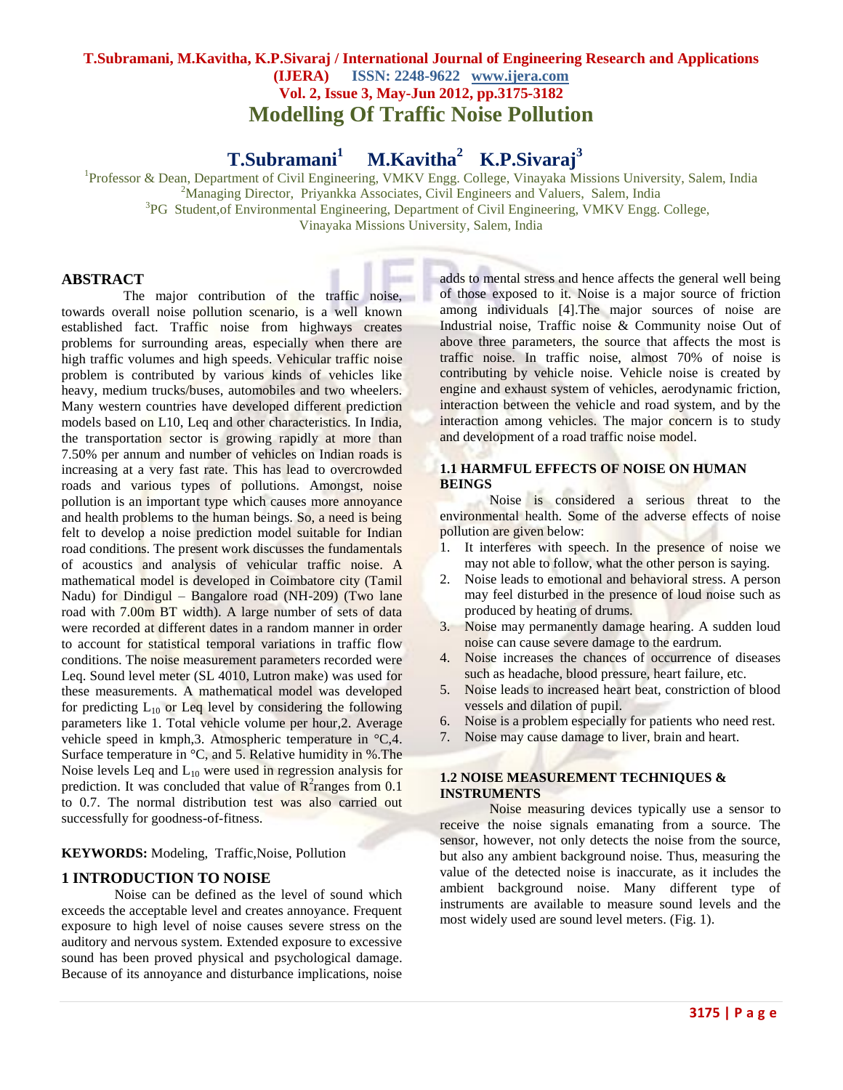# **T.Subramani, M.Kavitha, K.P.Sivaraj / International Journal of Engineering Research and Applications (IJERA) ISSN: 2248-9622 www.ijera.com Vol. 2, Issue 3, May-Jun 2012, pp.3175-3182 Modelling Of Traffic Noise Pollution**

#### **T.Subramani<sup>1</sup> M.Kavitha<sup>2</sup> K.P.Sivaraj<sup>3</sup>**

<sup>1</sup>Professor & Dean, Department of Civil Engineering, VMKV Engg. College, Vinayaka Missions University, Salem, India <sup>2</sup>Managing Director, Priyankka Associates, Civil Engineers and Valuers, Salem, India

<sup>3</sup>PG Student, of Environmental Engineering, Department of Civil Engineering, VMKV Engg. College,

Vinayaka Missions University, Salem, India

## **ABSTRACT**

The major contribution of the traffic noise, towards overall noise pollution scenario, is a well known established fact. Traffic noise from highways creates problems for surrounding areas, especially when there are high traffic volumes and high speeds. Vehicular traffic noise problem is contributed by various kinds of vehicles like heavy, medium trucks/buses, automobiles and two wheelers. Many western countries have developed different prediction models based on L10, Leq and other characteristics. In India, the transportation sector is growing rapidly at more than 7.50% per annum and number of vehicles on Indian roads is increasing at a very fast rate. This has lead to overcrowded roads and various types of pollutions. Amongst, noise pollution is an important type which causes more annoyance and health problems to the human beings. So, a need is being felt to develop a noise prediction model suitable for Indian road conditions. The present work discusses the fundamentals of acoustics and analysis of vehicular traffic noise. A mathematical model is developed in Coimbatore city (Tamil Nadu) for Dindigul – Bangalore road (NH-209) (Two lane road with 7.00m BT width). A large number of sets of data were recorded at different dates in a random manner in order to account for statistical temporal variations in traffic flow conditions. The noise measurement parameters recorded were Leq. Sound level meter (SL 4010, Lutron make) was used for these measurements. A mathematical model was developed for predicting  $L_{10}$  or Leq level by considering the following parameters like 1. Total vehicle volume per hour,2. Average vehicle speed in kmph,3. Atmospheric temperature in °C,4. Surface temperature in  $\mathrm{C}$ , and 5. Relative humidity in %. The Noise levels Leq and  $L_{10}$  were used in regression analysis for prediction. It was concluded that value of  $\mathbb{R}^2$  ranges from 0.1 to 0.7. The normal distribution test was also carried out successfully for goodness-of-fitness.

## **KEYWORDS:** Modeling, Traffic,Noise, Pollution

## **1 INTRODUCTION TO NOISE**

Noise can be defined as the level of sound which exceeds the acceptable level and creates annoyance. Frequent exposure to high level of noise causes severe stress on the auditory and nervous system. Extended exposure to excessive sound has been proved physical and psychological damage. Because of its annoyance and disturbance implications, noise

adds to mental stress and hence affects the general well being of those exposed to it. Noise is a major source of friction among individuals [4].The major sources of noise are Industrial noise, Traffic noise & Community noise Out of above three parameters, the source that affects the most is traffic noise. In traffic noise, almost 70% of noise is contributing by vehicle noise. Vehicle noise is created by engine and exhaust system of vehicles, aerodynamic friction, interaction between the vehicle and road system, and by the interaction among vehicles. The major concern is to study and development of a road traffic noise model.

## **1.1 HARMFUL EFFECTS OF NOISE ON HUMAN BEINGS**

Noise is considered a serious threat to the environmental health. Some of the adverse effects of noise pollution are given below:

- 1. It interferes with speech. In the presence of noise we may not able to follow, what the other person is saying.
- 2. Noise leads to emotional and behavioral stress. A person may feel disturbed in the presence of loud noise such as produced by heating of drums.
- 3. Noise may permanently damage hearing. A sudden loud noise can cause severe damage to the eardrum.
- 4. Noise increases the chances of occurrence of diseases such as headache, blood pressure, heart failure, etc.
- 5. Noise leads to increased heart beat, constriction of blood vessels and dilation of pupil.
- 6. Noise is a problem especially for patients who need rest.
- 7. Noise may cause damage to liver, brain and heart.

#### **1.2 NOISE MEASUREMENT TECHNIQUES & INSTRUMENTS**

Noise measuring devices typically use a sensor to receive the noise signals emanating from a source. The sensor, however, not only detects the noise from the source, but also any ambient background noise. Thus, measuring the value of the detected noise is inaccurate, as it includes the ambient background noise. Many different type of instruments are available to measure sound levels and the most widely used are sound level meters. (Fig. 1).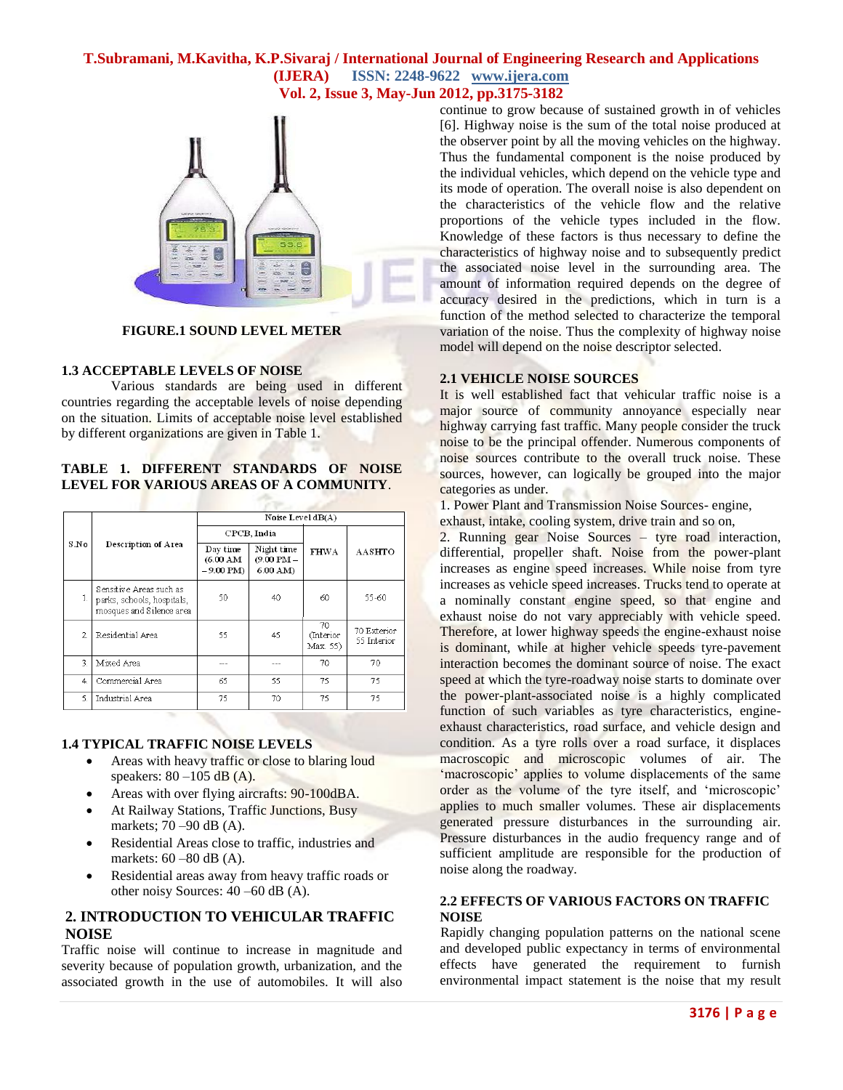

**FIGURE.1 SOUND LEVEL METER**

#### **1.3 ACCEPTABLE LEVELS OF NOISE**

Various standards are being used in different countries regarding the acceptable levels of noise depending on the situation. Limits of acceptable noise level established by different organizations are given in Table 1.

## **TABLE 1. DIFFERENT STANDARDS OF NOISE LEVEL FOR VARIOUS AREAS OF A COMMUNITY**.

|      |                                                                                   |                                                   | Noise Level dB(A)                        |                             |                            |  |
|------|-----------------------------------------------------------------------------------|---------------------------------------------------|------------------------------------------|-----------------------------|----------------------------|--|
|      | Description of Area                                                               | CPCB. India                                       |                                          |                             |                            |  |
| S.No |                                                                                   | Day time<br>$(6.00 \text{ AM})$<br>$-9.00$ PM $)$ | Night time<br>$(9.00$ PM $-$<br>6.00 AM) | <b>FHWA</b>                 | AASHTO                     |  |
| 1.   | Sensitive Areas such as<br>parks, schools, hospitals,<br>mosques and Silence area | 50                                                | 40                                       | 60                          | 55-60                      |  |
| 2.   | Residential Area                                                                  | 55                                                | 45                                       | 70<br>(Interior<br>Max. 55) | 70 Exterior<br>55 Interior |  |
| 3    | Mixed Area                                                                        |                                                   |                                          | 70                          | 70                         |  |
| 4    | Commercial Area                                                                   | 65                                                | 55                                       | 75                          | 75                         |  |
| 5.   | Industrial Area                                                                   | 75                                                | 70                                       | 75                          | 75                         |  |

## **1.4 TYPICAL TRAFFIC NOISE LEVELS**

- Areas with heavy traffic or close to blaring loud speakers:  $80 - 105$  dB (A).
- Areas with over flying aircrafts: 90-100dBA.
- At Railway Stations, Traffic Junctions, Busy markets; 70 –90 dB (A).
- Residential Areas close to traffic, industries and markets: 60 –80 dB (A).
- Residential areas away from heavy traffic roads or other noisy Sources: 40 –60 dB (A).

# **2. INTRODUCTION TO VEHICULAR TRAFFIC NOISE**

Traffic noise will continue to increase in magnitude and severity because of population growth, urbanization, and the associated growth in the use of automobiles. It will also continue to grow because of sustained growth in of vehicles [6]. Highway noise is the sum of the total noise produced at the observer point by all the moving vehicles on the highway. Thus the fundamental component is the noise produced by the individual vehicles, which depend on the vehicle type and its mode of operation. The overall noise is also dependent on the characteristics of the vehicle flow and the relative proportions of the vehicle types included in the flow. Knowledge of these factors is thus necessary to define the characteristics of highway noise and to subsequently predict the associated noise level in the surrounding area. The amount of information required depends on the degree of accuracy desired in the predictions, which in turn is a function of the method selected to characterize the temporal variation of the noise. Thus the complexity of highway noise model will depend on the noise descriptor selected.

# **2.1 VEHICLE NOISE SOURCES**

It is well established fact that vehicular traffic noise is a major source of community annoyance especially near highway carrying fast traffic. Many people consider the truck noise to be the principal offender. Numerous components of noise sources contribute to the overall truck noise. These sources, however, can logically be grouped into the major categories as under.

1. Power Plant and Transmission Noise Sources- engine,

exhaust, intake, cooling system, drive train and so on,

2. Running gear Noise Sources – tyre road interaction, differential, propeller shaft. Noise from the power-plant increases as engine speed increases. While noise from tyre increases as vehicle speed increases. Trucks tend to operate at a nominally constant engine speed, so that engine and exhaust noise do not vary appreciably with vehicle speed. Therefore, at lower highway speeds the engine-exhaust noise is dominant, while at higher vehicle speeds tyre-pavement interaction becomes the dominant source of noise. The exact speed at which the tyre-roadway noise starts to dominate over the power-plant-associated noise is a highly complicated function of such variables as tyre characteristics, engineexhaust characteristics, road surface, and vehicle design and condition. As a tyre rolls over a road surface, it displaces macroscopic and microscopic volumes of air. The 'macroscopic' applies to volume displacements of the same order as the volume of the tyre itself, and 'microscopic' applies to much smaller volumes. These air displacements generated pressure disturbances in the surrounding air. Pressure disturbances in the audio frequency range and of sufficient amplitude are responsible for the production of noise along the roadway.

## **2.2 EFFECTS OF VARIOUS FACTORS ON TRAFFIC NOISE**

Rapidly changing population patterns on the national scene and developed public expectancy in terms of environmental effects have generated the requirement to furnish environmental impact statement is the noise that my result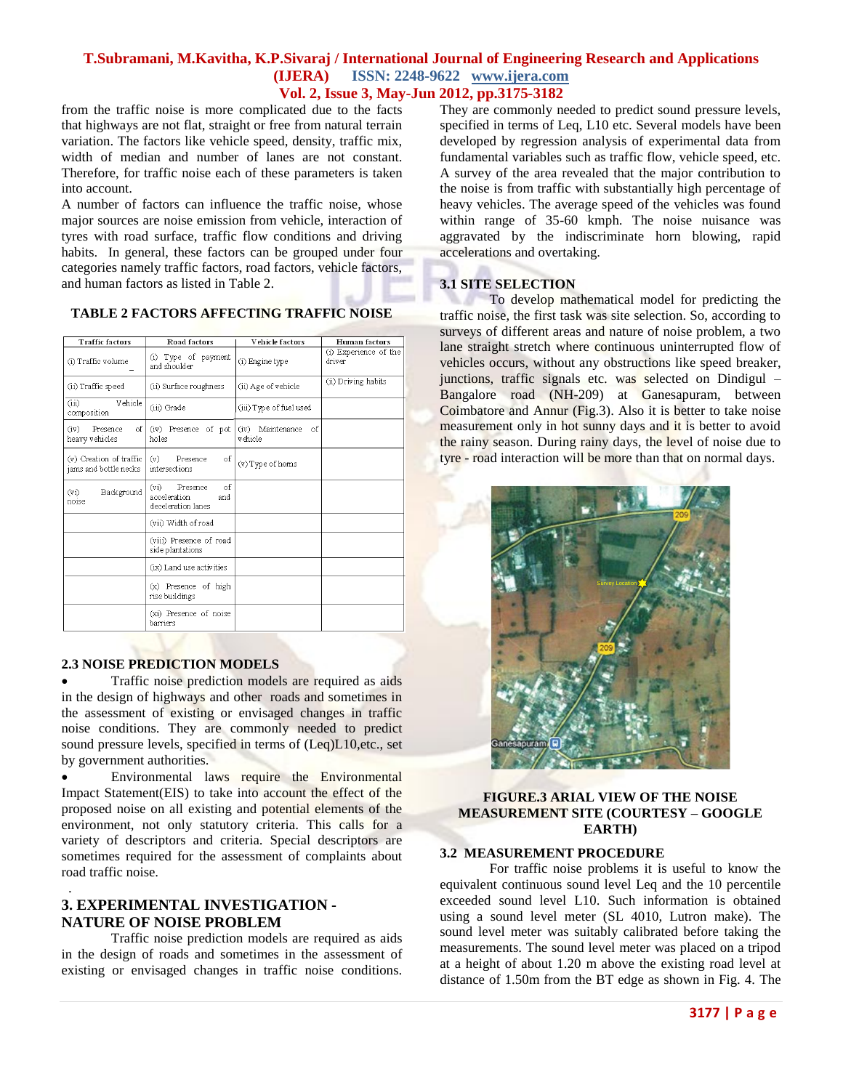from the traffic noise is more complicated due to the facts that highways are not flat, straight or free from natural terrain variation. The factors like vehicle speed, density, traffic mix, width of median and number of lanes are not constant. Therefore, for traffic noise each of these parameters is taken into account.

A number of factors can influence the traffic noise, whose major sources are noise emission from vehicle, interaction of tyres with road surface, traffic flow conditions and driving habits. In general, these factors can be grouped under four categories namely traffic factors, road factors, vehicle factors, and human factors as listed in Table 2.

#### **TABLE 2 FACTORS AFFECTING TRAFFIC NOISE**

| <b>Traffic factors</b>                           | Road factors                                                                     | Vehicle factors                    | <b>Human</b> factors            |
|--------------------------------------------------|----------------------------------------------------------------------------------|------------------------------------|---------------------------------|
| (i) Traffic volume                               | (i) Type of payment<br>and shoulder                                              | (i) Engine type                    | (i) Experience of the<br>driver |
| (ii) Traffic speed                               | (ii) Surface roughness                                                           | (ii) Age of vehicle                | (ii) Driving habits             |
| Vehicle<br>(iii)<br>composition                  | (iii) Grade                                                                      | (iii) Type of fuel used            |                                 |
| of l<br>(iv)<br>Presence<br>heavy vehicles       | (iv) Presence of pot<br>holes                                                    | (iv) Maintenance<br>-of<br>vehicle |                                 |
| (v) Creation of traffic<br>jams and bottle necks | Presence<br>οf<br>(v)<br>intersections                                           | (v) Type of homs                   |                                 |
| Background<br>(v <sub>i</sub> )<br>noise         | of<br>(v <sub>1</sub> )<br>Presence<br>acceleration<br>and<br>deceleration lanes |                                    |                                 |
|                                                  | (vii) Width of road                                                              |                                    |                                 |
|                                                  | (viii) Presence of road<br>side plantations                                      |                                    |                                 |
|                                                  | (ix) Land use activities                                                         |                                    |                                 |
|                                                  | (x) Presence of high<br>rise buildings                                           |                                    |                                 |
|                                                  | (xi) Presence of noise<br>barriers                                               |                                    |                                 |

#### **2.3 NOISE PREDICTION MODELS**

 Traffic noise prediction models are required as aids in the design of highways and other roads and sometimes in the assessment of existing or envisaged changes in traffic noise conditions. They are commonly needed to predict sound pressure levels, specified in terms of (Leq)L10, etc., set by government authorities.

 Environmental laws require the Environmental Impact Statement(EIS) to take into account the effect of the proposed noise on all existing and potential elements of the environment, not only statutory criteria. This calls for a variety of descriptors and criteria. Special descriptors are sometimes required for the assessment of complaints about road traffic noise.

# **3. EXPERIMENTAL INVESTIGATION - NATURE OF NOISE PROBLEM**

.

Traffic noise prediction models are required as aids in the design of roads and sometimes in the assessment of existing or envisaged changes in traffic noise conditions. They are commonly needed to predict sound pressure levels, specified in terms of Leq, L10 etc. Several models have been developed by regression analysis of experimental data from fundamental variables such as traffic flow, vehicle speed, etc. A survey of the area revealed that the major contribution to the noise is from traffic with substantially high percentage of heavy vehicles. The average speed of the vehicles was found within range of 35-60 kmph. The noise nuisance was aggravated by the indiscriminate horn blowing, rapid accelerations and overtaking.

#### **3.1 SITE SELECTION**

To develop mathematical model for predicting the traffic noise, the first task was site selection. So, according to surveys of different areas and nature of noise problem, a two lane straight stretch where continuous uninterrupted flow of vehicles occurs, without any obstructions like speed breaker, junctions, traffic signals etc. was selected on Dindigul – Bangalore road (NH-209) at Ganesapuram, between Coimbatore and Annur (Fig.3). Also it is better to take noise measurement only in hot sunny days and it is better to avoid the rainy season. During rainy days, the level of noise due to tyre - road interaction will be more than that on normal days.



#### **FIGURE.3 ARIAL VIEW OF THE NOISE MEASUREMENT SITE (COURTESY – GOOGLE EARTH)**

#### **3.2 MEASUREMENT PROCEDURE**

For traffic noise problems it is useful to know the equivalent continuous sound level Leq and the 10 percentile exceeded sound level L10. Such information is obtained using a sound level meter (SL 4010, Lutron make). The sound level meter was suitably calibrated before taking the measurements. The sound level meter was placed on a tripod at a height of about 1.20 m above the existing road level at distance of 1.50m from the BT edge as shown in Fig. 4. The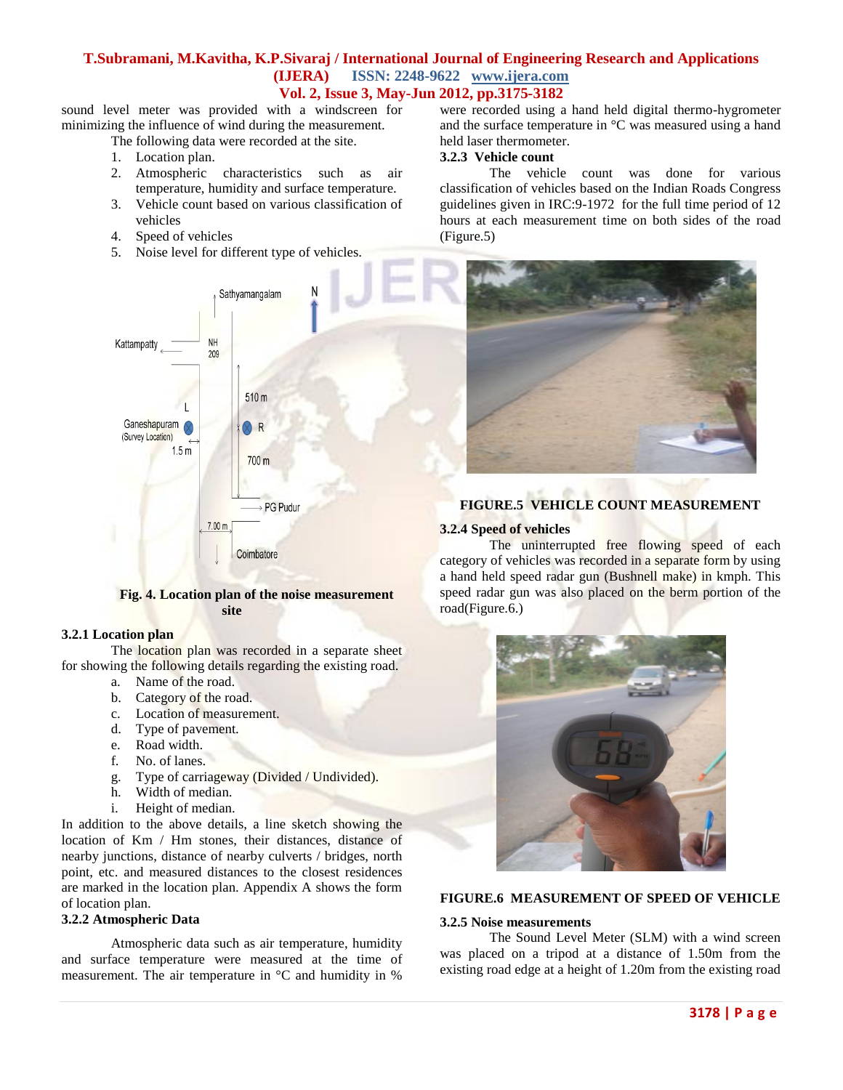sound level meter was provided with a windscreen for minimizing the influence of wind during the measurement.

The following data were recorded at the site.

- 1. Location plan.
- 2. Atmospheric characteristics such as air temperature, humidity and surface temperature.
- 3. Vehicle count based on various classification of vehicles
- 4. Speed of vehicles
- 5. Noise level for different type of vehicles.

were recorded using a hand held digital thermo-hygrometer and the surface temperature in °C was measured using a hand held laser thermometer.

# **3.2.3 Vehicle count**

The vehicle count was done for various classification of vehicles based on the Indian Roads Congress guidelines given in IRC:9-1972 for the full time period of 12 hours at each measurement time on both sides of the road (Figure.5)



#### **Fig. 4. Location plan of the noise measurement site**

## **3.2.1 Location plan**

The location plan was recorded in a separate sheet for showing the following details regarding the existing road.

- a. Name of the road.
- b. Category of the road.
- c. Location of measurement.
- d. Type of pavement.
- e. Road width.
- f. No. of lanes.
- g. Type of carriageway (Divided / Undivided).
- h. Width of median.
- i. Height of median.

In addition to the above details, a line sketch showing the location of Km / Hm stones, their distances, distance of nearby junctions, distance of nearby culverts / bridges, north point, etc. and measured distances to the closest residences are marked in the location plan. Appendix A shows the form of location plan.

## **3.2.2 Atmospheric Data**

Atmospheric data such as air temperature, humidity and surface temperature were measured at the time of measurement. The air temperature in °C and humidity in %



## **FIGURE.5 VEHICLE COUNT MEASUREMENT**

#### **3.2.4 Speed of vehicles**

The uninterrupted free flowing speed of each category of vehicles was recorded in a separate form by using a hand held speed radar gun (Bushnell make) in kmph. This speed radar gun was also placed on the berm portion of the road(Figure.6.)



#### **FIGURE.6 MEASUREMENT OF SPEED OF VEHICLE**

#### **3.2.5 Noise measurements**

The Sound Level Meter (SLM) with a wind screen was placed on a tripod at a distance of 1.50m from the existing road edge at a height of 1.20m from the existing road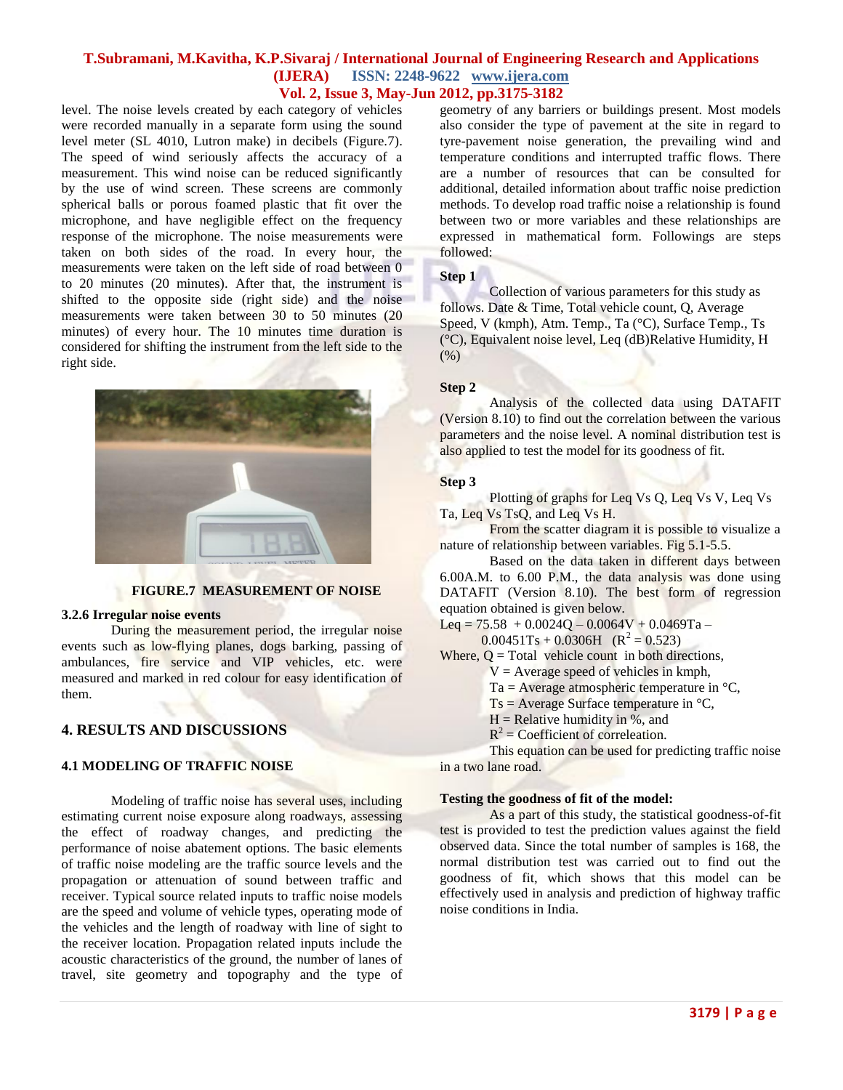level. The noise levels created by each category of vehicles were recorded manually in a separate form using the sound level meter (SL 4010, Lutron make) in decibels (Figure.7). The speed of wind seriously affects the accuracy of a measurement. This wind noise can be reduced significantly by the use of wind screen. These screens are commonly spherical balls or porous foamed plastic that fit over the microphone, and have negligible effect on the frequency response of the microphone. The noise measurements were taken on both sides of the road. In every hour, the measurements were taken on the left side of road between 0 to 20 minutes (20 minutes). After that, the instrument is shifted to the opposite side (right side) and the noise measurements were taken between 30 to 50 minutes (20 minutes) of every hour. The 10 minutes time duration is considered for shifting the instrument from the left side to the right side.



#### **FIGURE.7 MEASUREMENT OF NOISE**

#### **3.2.6 Irregular noise events**

During the measurement period, the irregular noise events such as low-flying planes, dogs barking, passing of ambulances, fire service and VIP vehicles, etc. were measured and marked in red colour for easy identification of them.

# **4. RESULTS AND DISCUSSIONS**

## **4.1 MODELING OF TRAFFIC NOISE**

Modeling of traffic noise has several uses, including estimating current noise exposure along roadways, assessing the effect of roadway changes, and predicting the performance of noise abatement options. The basic elements of traffic noise modeling are the traffic source levels and the propagation or attenuation of sound between traffic and receiver. Typical source related inputs to traffic noise models are the speed and volume of vehicle types, operating mode of the vehicles and the length of roadway with line of sight to the receiver location. Propagation related inputs include the acoustic characteristics of the ground, the number of lanes of travel, site geometry and topography and the type of

geometry of any barriers or buildings present. Most models also consider the type of pavement at the site in regard to tyre-pavement noise generation, the prevailing wind and temperature conditions and interrupted traffic flows. There are a number of resources that can be consulted for additional, detailed information about traffic noise prediction methods. To develop road traffic noise a relationship is found between two or more variables and these relationships are expressed in mathematical form. Followings are steps followed:

#### **Step 1**

Collection of various parameters for this study as follows. Date & Time, Total vehicle count, Q, Average Speed, V (kmph), Atm. Temp., Ta (°C), Surface Temp., Ts (°C), Equivalent noise level, Leq (dB)Relative Humidity, H (%)

#### **Step 2**

Analysis of the collected data using DATAFIT (Version 8.10) to find out the correlation between the various parameters and the noise level. A nominal distribution test is also applied to test the model for its goodness of fit.

#### **Step 3**

Plotting of graphs for Leq Vs Q, Leq Vs V, Leq Vs Ta, Leq Vs TsQ, and Leq Vs H.

From the scatter diagram it is possible to visualize a nature of relationship between variables. Fig 5.1-5.5.

Based on the data taken in different days between 6.00A.M. to 6.00 P.M., the data analysis was done using DATAFIT (Version 8.10). The best form of regression equation obtained is given below.

Leq =  $75.58 + 0.0024Q - 0.0064V + 0.0469Ta -$ 

0.00451Ts + 0.0306H ( $R^2 = 0.523$ )

Where,  $Q = \text{Total vehicle count}$  in both directions,

- $V =$  Average speed of vehicles in kmph,
	- Ta = Average atmospheric temperature in  $°C$ ,
	- $Ts = Average Surface temperature in °C,$
	- $H =$  Relative humidity in %, and
	- $R^2$  = Coefficient of correleation.

This equation can be used for predicting traffic noise in a two lane road.

#### **Testing the goodness of fit of the model:**

As a part of this study, the statistical goodness-of-fit test is provided to test the prediction values against the field observed data. Since the total number of samples is 168, the normal distribution test was carried out to find out the goodness of fit, which shows that this model can be effectively used in analysis and prediction of highway traffic noise conditions in India.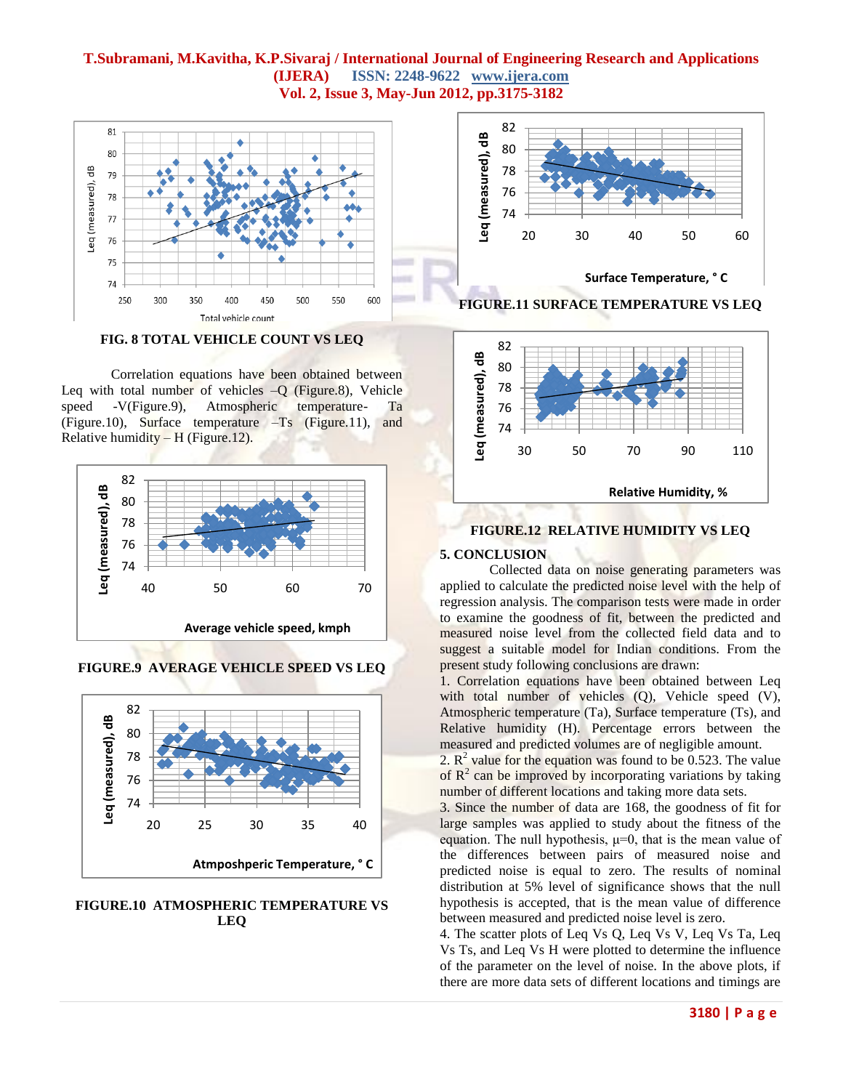

**FIG. 8 TOTAL VEHICLE COUNT VS LEQ**

Correlation equations have been obtained between Leq with total number of vehicles  $-Q$  (Figure.8), Vehicle speed -V(Figure.9), Atmospheric temperature- Ta (Figure.10), Surface temperature –Ts (Figure.11), and Relative humidity  $-$  H (Figure.12).



**FIGURE.9 AVERAGE VEHICLE SPEED VS LEQ**



**FIGURE.10 ATMOSPHERIC TEMPERATURE VS LEQ**





## **FIGURE.12 RELATIVE HUMIDITY VS LEQ**

#### **5. CONCLUSION**

Collected data on noise generating parameters was applied to calculate the predicted noise level with the help of regression analysis. The comparison tests were made in order to examine the goodness of fit, between the predicted and measured noise level from the collected field data and to suggest a suitable model for Indian conditions. From the present study following conclusions are drawn:

1. Correlation equations have been obtained between Leq with total number of vehicles (Q), Vehicle speed (V), Atmospheric temperature (Ta), Surface temperature (Ts), and Relative humidity (H). Percentage errors between the measured and predicted volumes are of negligible amount.

2.  $R^2$  value for the equation was found to be 0.523. The value of  $R<sup>2</sup>$  can be improved by incorporating variations by taking number of different locations and taking more data sets.

3. Since the number of data are 168, the goodness of fit for large samples was applied to study about the fitness of the equation. The null hypothesis,  $\mu=0$ , that is the mean value of the differences between pairs of measured noise and predicted noise is equal to zero. The results of nominal distribution at 5% level of significance shows that the null hypothesis is accepted, that is the mean value of difference between measured and predicted noise level is zero.

4. The scatter plots of Leq Vs Q, Leq Vs V, Leq Vs Ta, Leq Vs Ts, and Leq Vs H were plotted to determine the influence of the parameter on the level of noise. In the above plots, if there are more data sets of different locations and timings are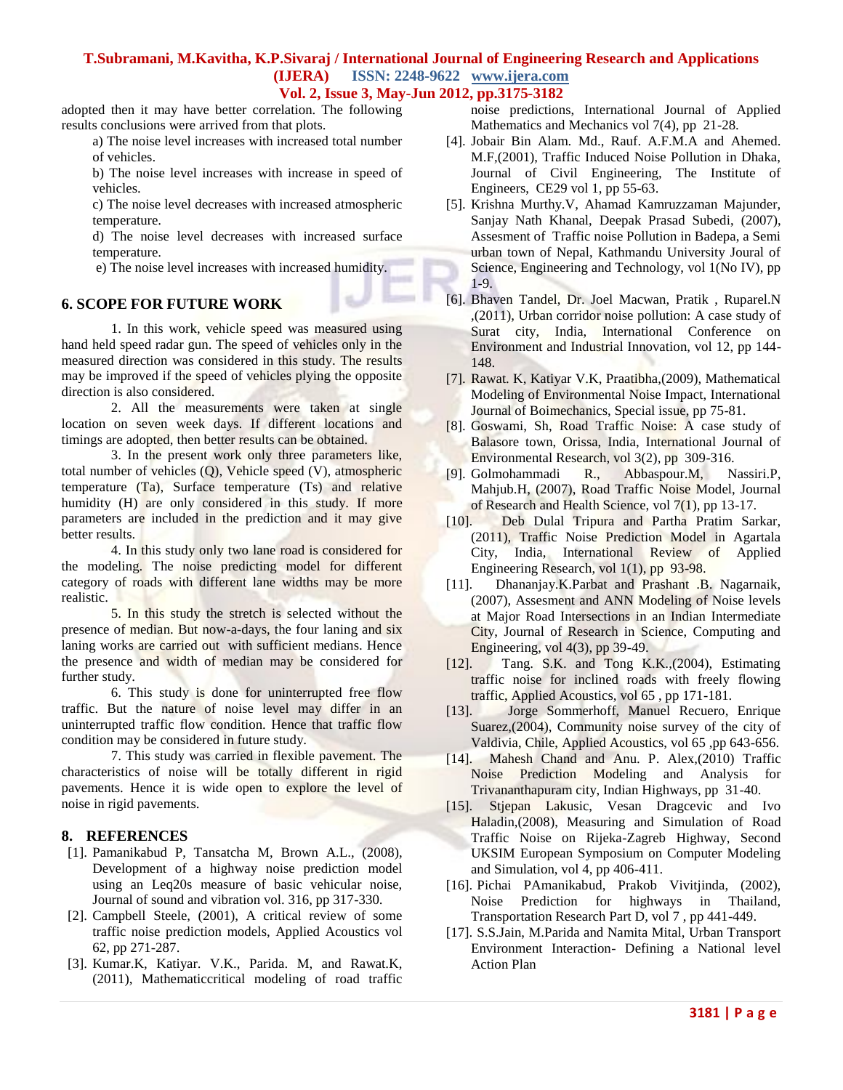# **T.Subramani, M.Kavitha, K.P.Sivaraj / International Journal of Engineering Research and Applications (IJERA) ISSN: 2248-9622 www.ijera.com**

**Vol. 2, Issue 3, May-Jun 2012, pp.3175-3182**

adopted then it may have better correlation. The following results conclusions were arrived from that plots.

a) The noise level increases with increased total number of vehicles.

b) The noise level increases with increase in speed of vehicles.

c) The noise level decreases with increased atmospheric temperature.

d) The noise level decreases with increased surface temperature.

e) The noise level increases with increased humidity.

# **6. SCOPE FOR FUTURE WORK**

1. In this work, vehicle speed was measured using hand held speed radar gun. The speed of vehicles only in the measured direction was considered in this study. The results may be improved if the speed of vehicles plying the opposite direction is also considered.

2. All the measurements were taken at single location on seven week days. If different locations and timings are adopted, then better results can be obtained.

3. In the present work only three parameters like, total number of vehicles (Q), Vehicle speed (V), atmospheric temperature (Ta), Surface temperature (Ts) and relative humidity (H) are only considered in this study. If more parameters are included in the prediction and it may give better results.

4. In this study only two lane road is considered for the modeling. The noise predicting model for different category of roads with different lane widths may be more realistic.

5. In this study the stretch is selected without the presence of median. But now-a-days, the four laning and six laning works are carried out with sufficient medians. Hence the presence and width of median may be considered for further study.

6. This study is done for uninterrupted free flow traffic. But the nature of noise level may differ in an uninterrupted traffic flow condition. Hence that traffic flow condition may be considered in future study.

7. This study was carried in flexible pavement. The characteristics of noise will be totally different in rigid pavements. Hence it is wide open to explore the level of noise in rigid pavements.

## **8. REFERENCES**

- [1]. Pamanikabud P, Tansatcha M, Brown A.L., (2008), Development of a highway noise prediction model using an Leq20s measure of basic vehicular noise, Journal of sound and vibration vol. 316, pp 317-330.
- [2]. Campbell Steele, (2001), A critical review of some traffic noise prediction models, Applied Acoustics vol 62, pp 271-287.
- [3]. Kumar.K, Katiyar. V.K., Parida. M, and Rawat.K, (2011), Mathematiccritical modeling of road traffic

noise predictions, International Journal of Applied Mathematics and Mechanics vol 7(4), pp 21-28.

- [4]. Jobair Bin Alam. Md., Rauf. A.F.M.A and Ahemed. M.F,(2001), Traffic Induced Noise Pollution in Dhaka, Journal of Civil Engineering, The Institute of Engineers, CE29 vol 1, pp 55-63.
- [5]. Krishna Murthy.V, Ahamad Kamruzzaman Majunder, Sanjay Nath Khanal, Deepak Prasad Subedi, (2007), Assesment of Traffic noise Pollution in Badepa, a Semi urban town of Nepal, Kathmandu University Joural of Science, Engineering and Technology, vol 1(No IV), pp 1-9.
- [6]. Bhaven Tandel, Dr. Joel Macwan, Pratik , Ruparel.N ,(2011), Urban corridor noise pollution: A case study of Surat city, India, International Conference on Environment and Industrial Innovation, vol 12, pp 144- 148.
- [7]. Rawat. K, Katiyar V.K, Praatibha,(2009), Mathematical Modeling of Environmental Noise Impact, International Journal of Boimechanics, Special issue, pp 75-81.
- [8]. Goswami, Sh, Road Traffic Noise: A case study of Balasore town, Orissa, India, International Journal of Environmental Research, vol 3(2), pp 309-316.
- [9]. Golmohammadi R., Abbaspour.M, Nassiri.P, Mahjub.H, (2007), Road Traffic Noise Model, Journal of Research and Health Science, vol 7(1), pp 13-17.
- [10]. Deb Dulal Tripura and Partha Pratim Sarkar, (2011), Traffic Noise Prediction Model in Agartala City, India, International Review of Applied Engineering Research, vol 1(1), pp 93-98.
- [11]. Dhananjay.K.Parbat and Prashant .B. Nagarnaik, (2007), Assesment and ANN Modeling of Noise levels at Major Road Intersections in an Indian Intermediate City, Journal of Research in Science, Computing and Engineering, vol 4(3), pp 39-49.
- [12]. Tang. S.K. and Tong K.K.,(2004), Estimating traffic noise for inclined roads with freely flowing traffic, Applied Acoustics, vol 65 , pp 171-181.
- [13]. Jorge Sommerhoff, Manuel Recuero, Enrique Suarez,(2004), Community noise survey of the city of Valdivia, Chile, Applied Acoustics, vol 65 ,pp 643-656.
- [14]. Mahesh Chand and Anu. P. Alex,(2010) Traffic Noise Prediction Modeling and Analysis for Trivananthapuram city, Indian Highways, pp 31-40.
- [15]. Stjepan Lakusic, Vesan Dragcevic and Ivo Haladin,(2008), Measuring and Simulation of Road Traffic Noise on Rijeka-Zagreb Highway, Second UKSIM European Symposium on Computer Modeling and Simulation, vol 4, pp 406-411.
- [16]. Pichai PAmanikabud, Prakob Vivitjinda, (2002), Noise Prediction for highways in Thailand, Transportation Research Part D, vol 7 , pp 441-449.
- [17]. S.S.Jain, M.Parida and Namita Mital, Urban Transport Environment Interaction- Defining a National level Action Plan